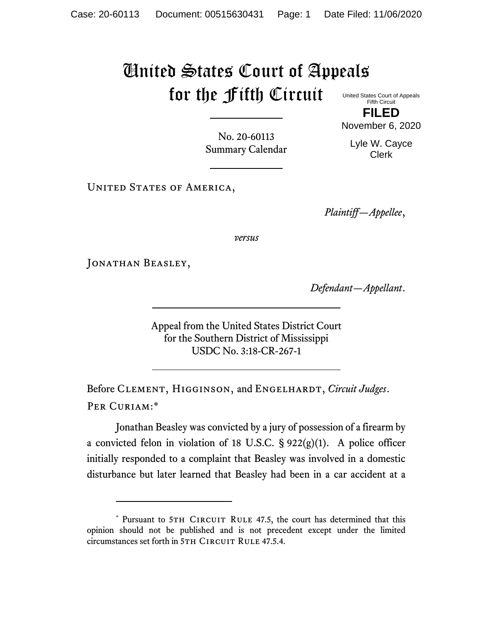## United States Court of Appeals for the Fifth Circuit

United States Court of Appeals Fifth Circuit **FILED**

No. 20-60113 Summary Calendar

Lyle W. Cayce Clerk

November 6, 2020

UNITED STATES OF AMERICA,

*Plaintiff—Appellee*,

*versus*

JONATHAN BEASLEY,

*Defendant—Appellant*.

Appeal from the United States District Court for the Southern District of Mississippi USDC No. 3:18-CR-267-1

Before CLEMENT, HIGGINSON, and ENGELHARDT, *Circuit Judges*. Per Curiam:\*

Jonathan Beasley was convicted by a jury of possession of a firearm by a convicted felon in violation of 18 U.S.C.  $\S 922(g)(1)$ . A police officer initially responded to a complaint that Beasley was involved in a domestic disturbance but later learned that Beasley had been in a car accident at a

<sup>\*</sup> Pursuant to 5TH CIRCUIT RULE 47.5, the court has determined that this opinion should not be published and is not precedent except under the limited circumstances set forth in 5TH CIRCUIT RULE 47.5.4.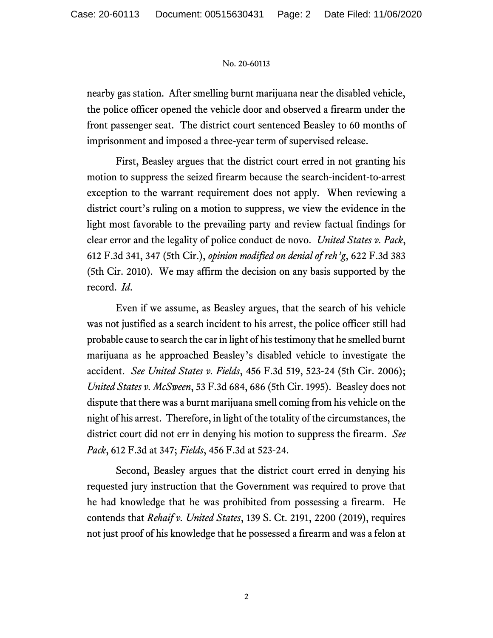## No. 20-60113

nearby gas station. After smelling burnt marijuana near the disabled vehicle, the police officer opened the vehicle door and observed a firearm under the front passenger seat. The district court sentenced Beasley to 60 months of imprisonment and imposed a three-year term of supervised release.

First, Beasley argues that the district court erred in not granting his motion to suppress the seized firearm because the search-incident-to-arrest exception to the warrant requirement does not apply. When reviewing a district court's ruling on a motion to suppress, we view the evidence in the light most favorable to the prevailing party and review factual findings for clear error and the legality of police conduct de novo. *United States v. Pack*, 612 F.3d 341, 347 (5th Cir.), *opinion modified on denial of reh'g*, 622 F.3d 383 (5th Cir. 2010). We may affirm the decision on any basis supported by the record. *Id*.

Even if we assume, as Beasley argues, that the search of his vehicle was not justified as a search incident to his arrest, the police officer still had probable cause to search the car in light of his testimony that he smelled burnt marijuana as he approached Beasley's disabled vehicle to investigate the accident. *See United States v. Fields*, 456 F.3d 519, 523-24 (5th Cir. 2006); *United States v. McSween*, 53 F.3d 684, 686 (5th Cir. 1995). Beasley does not dispute that there was a burnt marijuana smell coming from his vehicle on the night of his arrest. Therefore, in light of the totality of the circumstances, the district court did not err in denying his motion to suppress the firearm. *See Pack*, 612 F.3d at 347; *Fields*, 456 F.3d at 523-24.

Second, Beasley argues that the district court erred in denying his requested jury instruction that the Government was required to prove that he had knowledge that he was prohibited from possessing a firearm. He contends that *Rehaif v. United States*, 139 S. Ct. 2191, 2200 (2019), requires not just proof of his knowledge that he possessed a firearm and was a felon at